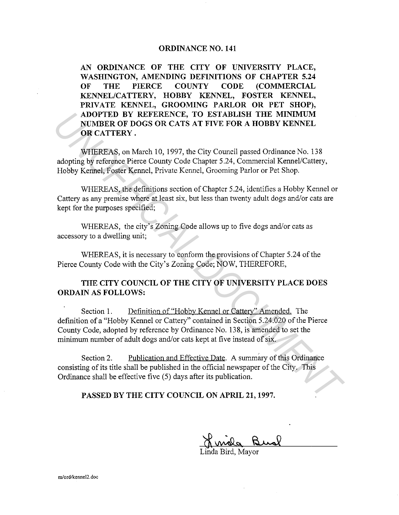## **ORDINANCE NO. 141**

**AN ORDINANCE OF THE CITY OF UNIVERSITY PLACE, WASHINGTON, AMENDING DEFINITIONS OF CHAPTER 5.24 OF THE PIERCE COUNTY CODE (COMMERCIAL KENNEL/CATTERY, HOBBY KENNEL, FOSTER KENNEL, PRIVATE KENNEL, GROOMING PARLOR OR PET SHOP), ADOPTED BY REFERENCE, TO ESTABLISH THE MINIMUM NUMBER OF DOGS OR CATS AT FIVE FOR A HOBBY KENNEL OR CATTERY.** 

WHEREAS, on March 10, 1997, the City Council passed Ordinance No. 138 adopting by reference Pierce County Code Chapter 5.24, Commercial Kennel/Cattery, Hobby Kennel, Foster Kennel, Private Kennel, Grooming Parlor or Pet Shop.

WHEREAS, the definitions section of Chapter 5.24, identifies a Hobby Kennel or Cattery as any premise where at least six, but less than twenty adult dogs and/or cats are kept for the purposes specified;

WHEREAS, the city's Zoning Code allows up to five dogs and/or cats as accessory to a dwelling unit;

WHEREAS, it is necessary to conform the provisions of Chapter 5.24 of the Pierce County Code with the City's Zoning Code; NOW, THEREFORE,

## **THE CITY COUNCIL OF THE CITY OF UNIVERSITY PLACE DOES ORDAIN AS FOLLOWS:**

Section 1. Definition of "Hobby Kennel or Cattery" Amended. The definition of a "Hobby Kennel or Cattery" contained in Section 5.24.020 of the Pierce County Code, adopted by reference by Ordinance No. 138, is amended to set the minimum number of adult dogs and/or cats kept at five instead of six. **ADOPTED BY REFRENCE, TO ESTABLISH THE MINIMUM**<br> **UNIMERR OF DOGS OR CATS AT FIVE FOR A HOBBY KENNEL**<br> **OR CATTERY**.<br> **WHEREAS**, on March 10, 1997, the City Council passed Ordinance No. 138<br>
adopting by reference Pierce Co

Section 2. Publication and Effective Date. A summary of this Ordinance consisting of its title shall be published in the official newspaper of the City. This Ordinance shall be effective five (5) days after its publication.

**PASSED BY THE CITY COUNCIL ON APRIL 21, 1997.** 

Bird, Mayor